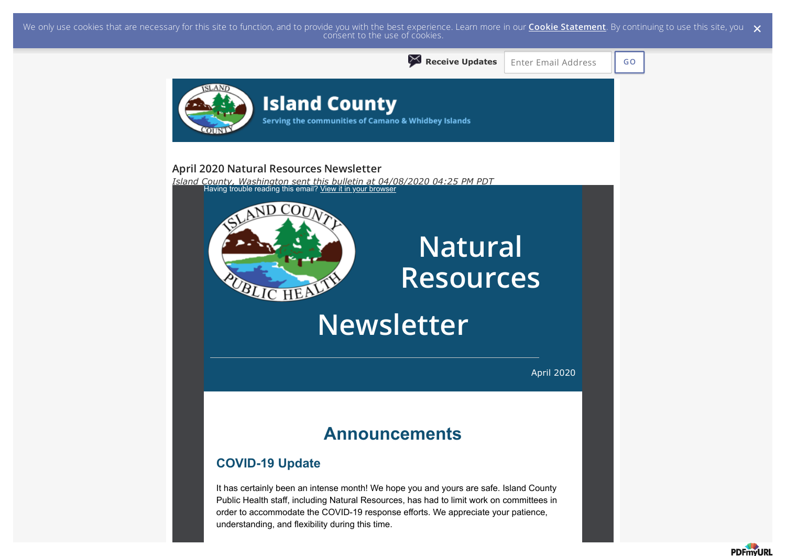We only use cookies that are necessary for this site to function, and to provide you with the best experience. Learn more in our <mark>Cookie Statement</mark>. By continuing to use this site, you  $\,\,\times\,$  consent to the use of cookie



**PDFmvURI**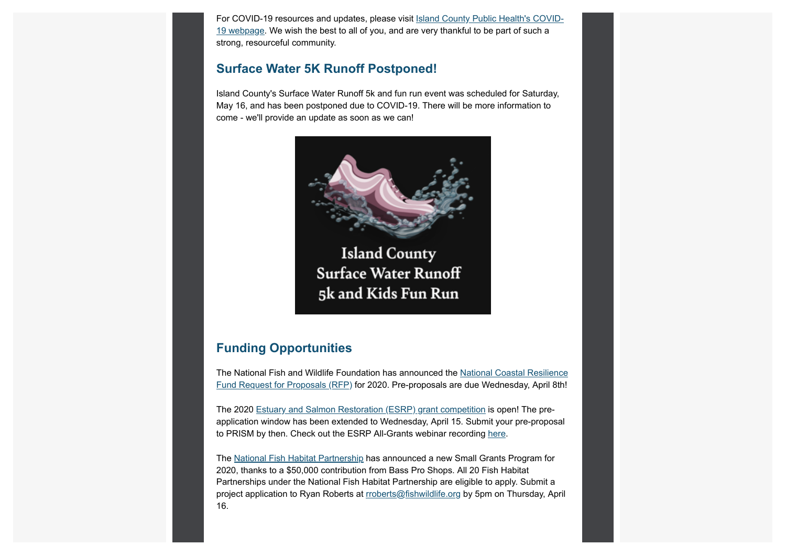For COVID-19 resources and updates, please visit Island County Public Health's COVID-19 webpage. We wish the best to all of you, and are very thankful to be part of such a strong, resourceful community.

### **Surface Water 5K Runoff Postponed!**

Island County's Surface Water Runoff 5k and fun run event was scheduled for Saturday, May 16, and has been postponed due to COVID-19. There will be more information to come - we'll provide an update as soon as we can!



**Island County Surface Water Runoff** 5k and Kids Fun Run

### **Funding Opportunities**

The National Fish and Wildlife Foundation has announced the National Coastal Resilience Fund Request for Proposals (RFP) for 2020. Pre-proposals are due Wednesday, April 8th!

The 2020 Estuary and Salmon Restoration (ESRP) grant competition is open! The preapplication window has been extended to Wednesday, April 15. Submit your pre-proposal to PRISM by then. Check out the ESRP All-Grants webinar recording here.

The National Fish Habitat Partnership has announced a new Small Grants Program for 2020, thanks to a \$50,000 contribution from Bass Pro Shops. All 20 Fish Habitat Partnerships under the National Fish Habitat Partnership are eligible to apply. Submit a project application to Ryan Roberts at **rroberts@fishwildlife.org** by 5pm on Thursday, April 16.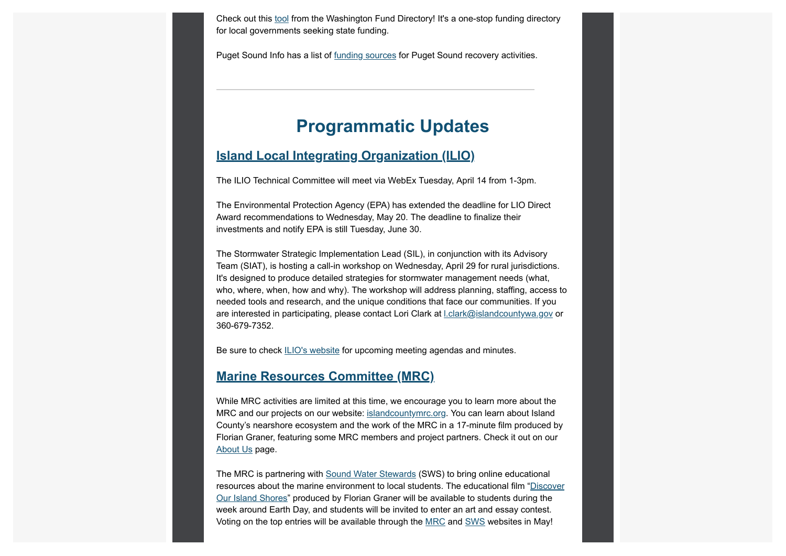Check out this tool from the Washington Fund Directory! It's a one-stop funding directory for local governments seeking state funding.

Puget Sound Info has a list of funding sources for Puget Sound recovery activities.

# **Programmatic Updates**

### **Island Local Integrating Organization (ILIO)**

The ILIO Technical Committee will meet via WebEx Tuesday, April 14 from 1-3pm.

The Environmental Protection Agency (EPA) has extended the deadline for LIO Direct Award recommendations to Wednesday, May 20. The deadline to finalize their investments and notify EPA is still Tuesday, June 30.

The Stormwater Strategic Implementation Lead (SIL), in conjunction with its Advisory Team (SIAT), is hosting a call-in workshop on Wednesday, April 29 for rural jurisdictions. It's designed to produce detailed strategies for stormwater management needs (what, who, where, when, how and why). The workshop will address planning, staffing, access to needed tools and research, and the unique conditions that face our communities. If you are interested in participating, please contact Lori Clark at l.clark@islandcountywa.gov or 360-679-7352.

Be sure to check ILIO's website for upcoming meeting agendas and minutes.

### **Marine Resources Committee (MRC)**

While MRC activities are limited at this time, we encourage you to learn more about the MRC and our projects on our website: islandcountymrc.org. You can learn about Island County's nearshore ecosystem and the work of the MRC in a 17-minute film produced by Florian Graner, featuring some MRC members and project partners. Check it out on our About Us page.

The MRC is partnering with Sound Water Stewards (SWS) to bring online educational resources about the marine environment to local students. The educational film "Discover Our Island Shores" produced by Florian Graner will be available to students during the week around Earth Day, and students will be invited to enter an art and essay contest. Voting on the top entries will be available through the MRC and SWS websites in May!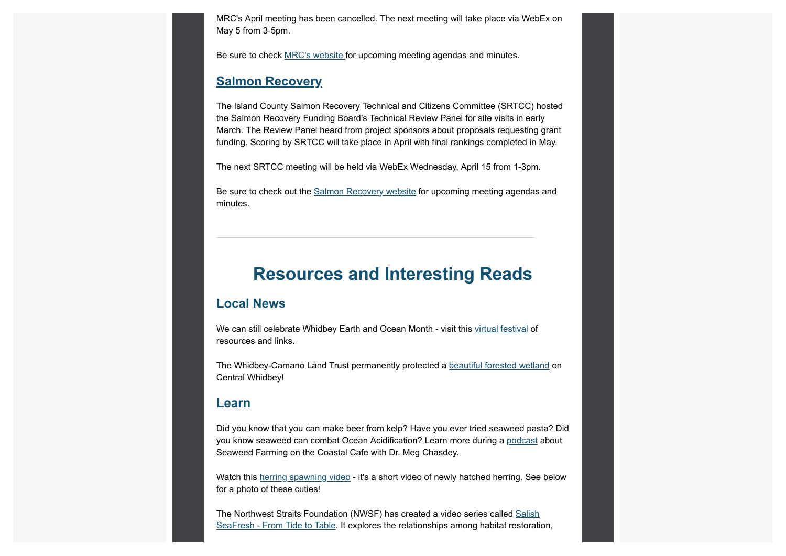MRC's April meeting has been cancelled. The next meeting will take place via WebEx on May 5 from 3-5pm.

Be sure to check MRC's website for upcoming meeting agendas and minutes.

### **Salmon Recovery**

The Island County Salmon Recovery Technical and Citizens Committee (SRTCC) hosted the Salmon Recovery Funding Board's Technical Review Panel for site visits in early March. The Review Panel heard from project sponsors about proposals requesting grant funding. Scoring by SRTCC will take place in April with final rankings completed in May.

The next SRTCC meeting will be held via WebEx Wednesday, April 15 from 1-3pm.

Be sure to check out the Salmon Recovery website for upcoming meeting agendas and minutes.

## **Resources and Interesting Reads**

#### **Local News**

We can still celebrate Whidbey Earth and Ocean Month - visit this virtual festival of resources and links.

The Whidbey-Camano Land Trust permanently protected a beautiful forested wetland on Central Whidbey!

### **Learn**

Did you know that you can make beer from kelp? Have you ever tried seaweed pasta? Did you know seaweed can combat Ocean Acidification? Learn more during a podcast about Seaweed Farming on the Coastal Cafe with Dr. Meg Chasdey.

Watch this herring spawning video - it's a short video of newly hatched herring. See below for a photo of these cuties!

The Northwest Straits Foundation (NWSF) has created a video series called Salish SeaFresh - From Tide to Table. It explores the relationships among habitat restoration,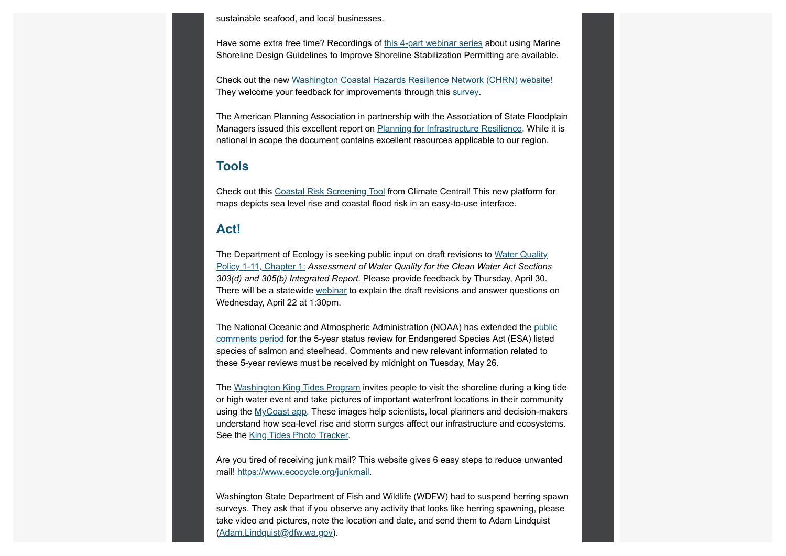sustainable seafood, and local businesses.

Have some extra free time? Recordings of this 4-part webinar series about using Marine Shoreline Design Guidelines to Improve Shoreline Stabilization Permitting are available.

Check out the new Washington Coastal Hazards Resilience Network (CHRN) website! They welcome your feedback for improvements through this survey.

The American Planning Association in partnership with the Association of State Floodplain Managers issued this excellent report on Planning for Infrastructure Resilience. While it is national in scope the document contains excellent resources applicable to our region.

### **Tools**

Check out this Coastal Risk Screening Tool from Climate Central! This new platform for maps depicts sea level rise and coastal flood risk in an easy-to-use interface.

### **Act!**

The Department of Ecology is seeking public input on draft revisions to Water Quality Policy 1-11, Chapter 1: *Assessment of Water Quality for the Clean Water Act Sections 303(d) and 305(b) Integrated Report*. Please provide feedback by Thursday, April 30. There will be a statewide webinar to explain the draft revisions and answer questions on Wednesday, April 22 at 1:30pm.

The National Oceanic and Atmospheric Administration (NOAA) has extended the public comments period for the 5-year status review for Endangered Species Act (ESA) listed species of salmon and steelhead. Comments and new relevant information related to these 5-year reviews must be received by midnight on Tuesday, May 26.

The Washington King Tides Program invites people to visit the shoreline during a king tide or high water event and take pictures of important waterfront locations in their community using the MyCoast app. These images help scientists, local planners and decision-makers understand how sea-level rise and storm surges affect our infrastructure and ecosystems. See the King Tides Photo Tracker.

Are you tired of receiving junk mail? This website gives 6 easy steps to reduce unwanted mail! https://www.ecocycle.org/junkmail.

Washington State Department of Fish and Wildlife (WDFW) had to suspend herring spawn surveys. They ask that if you observe any activity that looks like herring spawning, please take video and pictures, note the location and date, and send them to Adam Lindquist (Adam.Lindquist@dfw.wa.gov).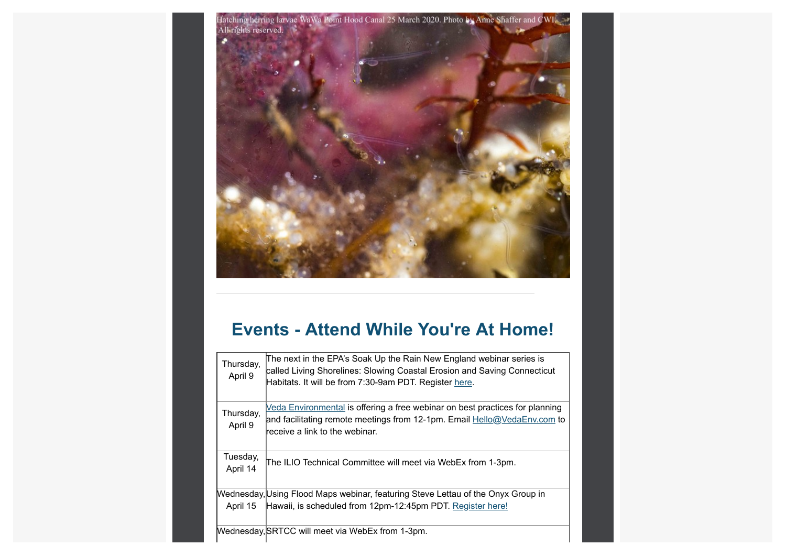

# **Events - Attend While You're At Home!**

| Thursday,<br>April 9 | The next in the EPA's Soak Up the Rain New England webinar series is<br>called Living Shorelines: Slowing Coastal Erosion and Saving Connecticut<br>Habitats. It will be from 7:30-9am PDT. Register here. |
|----------------------|------------------------------------------------------------------------------------------------------------------------------------------------------------------------------------------------------------|
| Thursday,<br>April 9 | <u>Veda Environmental</u> is offering a free webinar on best practices for planning<br>and facilitating remote meetings from 12-1pm. Email Hello@VedaEnv.com to<br>receive a link to the webinar.          |
| Tuesday,<br>April 14 | The ILIO Technical Committee will meet via WebEx from 1-3pm.                                                                                                                                               |
|                      | Wednesday, Using Flood Maps webinar, featuring Steve Lettau of the Onyx Group in                                                                                                                           |
| April 15             | Hawaii, is scheduled from 12pm-12:45pm PDT. Register here!                                                                                                                                                 |
|                      | Mednesday, SRTCC will meet via WebEx from 1-3pm.                                                                                                                                                           |